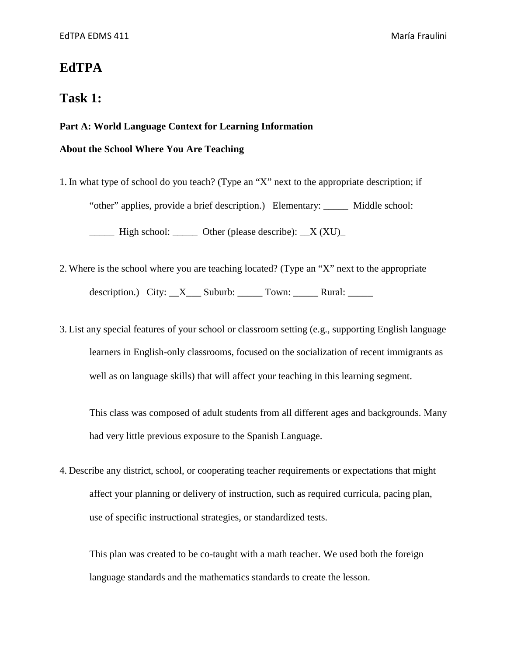# **EdTPA**

# **Task 1:**

# **Part A: World Language Context for Learning Information**

# **About the School Where You Are Teaching**

1. In what type of school do you teach? (Type an "X" next to the appropriate description; if "other" applies, provide a brief description.) Elementary: \_\_\_\_\_ Middle school:  $\frac{1}{\sqrt{1-\frac{1}{\sqrt{1-\frac{1}{\sqrt{1-\frac{1}{\sqrt{1-\frac{1}{\sqrt{1-\frac{1}{\sqrt{1-\frac{1}{\sqrt{1-\frac{1}{\sqrt{1-\frac{1}{\sqrt{1-\frac{1}{\sqrt{1-\frac{1}{\sqrt{1-\frac{1}{\sqrt{1-\frac{1}{\sqrt{1-\frac{1}{\sqrt{1-\frac{1}{\sqrt{1-\frac{1}{\sqrt{1-\frac{1}{\sqrt{1-\frac{1}{\sqrt{1-\frac{1}{\sqrt{1-\frac{1}{\sqrt{1-\frac{1}{\sqrt{1-\frac{1}{\sqrt{1-\frac{1}{\sqrt{1-\frac{1}{\sqrt{1-\frac{1$ 

- 2. Where is the school where you are teaching located? (Type an "X" next to the appropriate description.) City:  $X$  Suburb: Town:  $\frac{X}{X}$  Rural:
- 3. List any special features of your school or classroom setting (e.g., supporting English language learners in English-only classrooms, focused on the socialization of recent immigrants as well as on language skills) that will affect your teaching in this learning segment.

This class was composed of adult students from all different ages and backgrounds. Many had very little previous exposure to the Spanish Language.

4. Describe any district, school, or cooperating teacher requirements or expectations that might affect your planning or delivery of instruction, such as required curricula, pacing plan, use of specific instructional strategies, or standardized tests.

This plan was created to be co-taught with a math teacher. We used both the foreign language standards and the mathematics standards to create the lesson.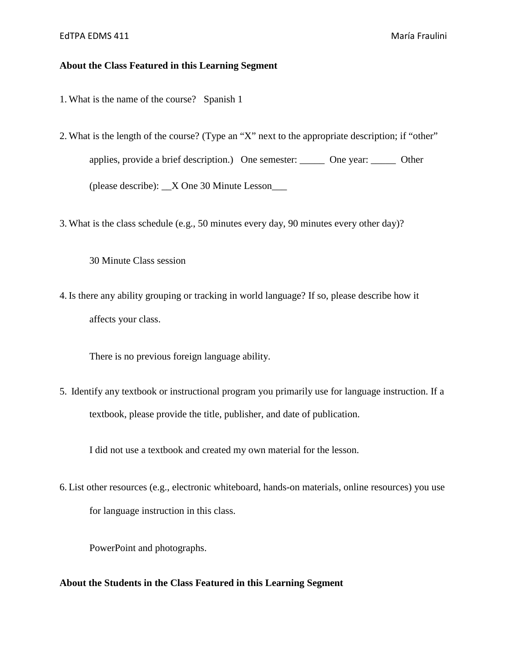## **About the Class Featured in this Learning Segment**

- 1. What is the name of the course? Spanish 1
- 2. What is the length of the course? (Type an "X" next to the appropriate description; if "other" applies, provide a brief description.) One semester: \_\_\_\_\_ One year: \_\_\_\_\_ Other (please describe): \_\_X One 30 Minute Lesson\_\_\_
- 3. What is the class schedule (e.g., 50 minutes every day, 90 minutes every other day)?

30 Minute Class session

4. Is there any ability grouping or tracking in world language? If so, please describe how it affects your class.

There is no previous foreign language ability.

5. Identify any textbook or instructional program you primarily use for language instruction. If a textbook, please provide the title, publisher, and date of publication.

I did not use a textbook and created my own material for the lesson.

6. List other resources (e.g., electronic whiteboard, hands-on materials, online resources) you use for language instruction in this class.

PowerPoint and photographs.

### **About the Students in the Class Featured in this Learning Segment**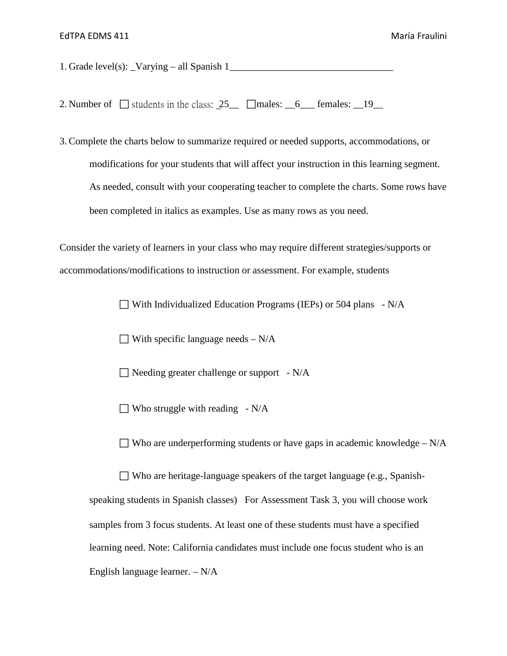1. Grade level(s): \_Varying – all Spanish 1\_\_\_\_\_\_\_\_\_\_\_\_\_\_\_\_\_\_\_\_\_\_\_\_\_\_\_\_\_\_\_\_\_

2. Number of  $\Box$  students in the class:  $25\_\Box$   $\Box$  males:  $\Box$  6  $\Box$  females:  $\Box$  19

3. Complete the charts below to summarize required or needed supports, accommodations, or modifications for your students that will affect your instruction in this learning segment. As needed, consult with your cooperating teacher to complete the charts. Some rows have been completed in italics as examples. Use as many rows as you need.

Consider the variety of learners in your class who may require different strategies/supports or accommodations/modifications to instruction or assessment. For example, students

 $\Box$  With Individualized Education Programs (IEPs) or 504 plans - N/A

 $\Box$  With specific language needs – N/A

 $\Box$  Needing greater challenge or support - N/A

 $\Box$  Who struggle with reading - N/A

 $\Box$  Who are underperforming students or have gaps in academic knowledge – N/A

 Who are heritage-language speakers of the target language (e.g., Spanishspeaking students in Spanish classes) For Assessment Task 3, you will choose work samples from 3 focus students. At least one of these students must have a specified learning need. Note: California candidates must include one focus student who is an English language learner. – N/A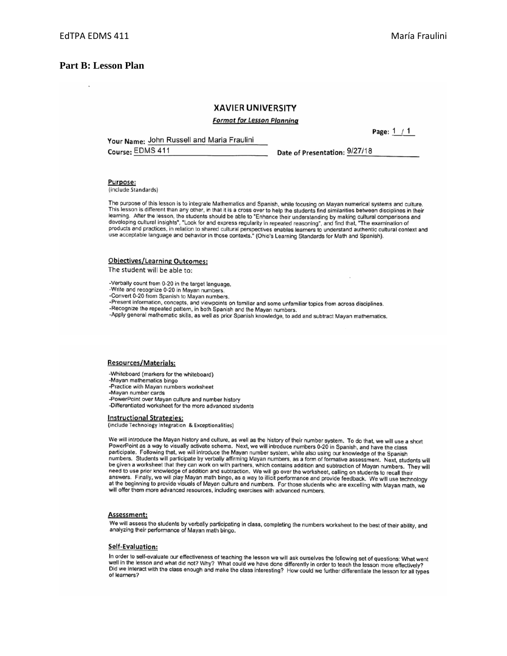Page:  $1 / 1$ 

### **Part B: Lesson Plan**

### **XAVIER UNIVERSITY**

#### **Format for Lesson Planning**

Your Name: John Russell and Maria Fraulini

Course: EDMS 411

Date of Presentation: 9/27/18

Purpose: (include Standards)

The purpose of this lesson is to integrate Mathematics and Spanish, while focusing on Mayan numerical systems and culture. This lesson is different than any other, in that it is a cross over to help the students find similarities between disciplines in their learning. After the lesson, the students should be able to "Enhance their understanding by making cultural comparisons and developing cultural insights", "Look for and express regularity in repeated reasoning", and find th products and practices, in relation to shared cultural perspectives enables learners to understand authentic cultural context and<br>use acceptable language and behavior in those contexts." (Ohio's Learning Standards for Math

### **Objectives/Learning Outcomes:**

The student will be able to:

-Verbally count from 0-20 in the target language.

- -Write and recognize 0-20 in Mayan numbers.
- -Convert 0-20 from Spanish to Mayan numbers.

-Present information, concepts, and viewpoints on familiar and some unfamiliar topics from across disciplines.

-Recognize the repeated pattern, in both Spanish and the Mayan numbers.

-Apply general mathematic skills, as well as prior Spanish knowledge, to add and subtract Mayan mathematics.

#### **Resources/Materials:**

-Whiteboard (markers for the whiteboard)

-Mayan mathematics bingo -Practice with Mayan numbers worksheet

-Mayan number cards

-PowerPoint over Mayan culture and number history -Differentiated worksheet for the more advanced students

#### **Instructional Strategies:**

(include Technology Integration & Exceptionalities)

We will introduce the Mayan history and culture, as well as the history of their number system. To do that, we will use a short PowerPoint as a way to visually activate schema. Next, we will introduce numbers 0-20 in Spanish, and have the class participate. Following that, we will introduce the Mayan number system, while also using our knowledge of the Spanish numbers. Students will participate by verbally affirming Mayan numbers, as a form of formative assessment. Next, students will be given a worksheet that they can work on with partners, which contains addition and subtraction of Mayan numbers. They will<br>need to use prior knowledge of addition and subtraction. We will go over the worksheet, calling The best in the beginning to provide visuals of Mayan culture and numbers. For those students who are excelling with Mayan math, we will play Mayan math bingo, as a way to illicit performance and provide feedback. We will will offer them more advanced resources, including exercises with advanced numbers.

#### Assessment:

We will assess the students by verbally participating in class, completing the numbers worksheet to the best of their ability, and analyzing their performance of Mayan math bingo.

### Self-Evaluation:

In order to self-evaluate our effectiveness of teaching the lesson we will ask ourselves the following set of questions: What went well in the lesson and what did not? Why? What could we have done differently in order to teach the lesson more effectively? Did we interact with the class enough and make the class interesting? How could we further differentiate the lesson for all types of learners?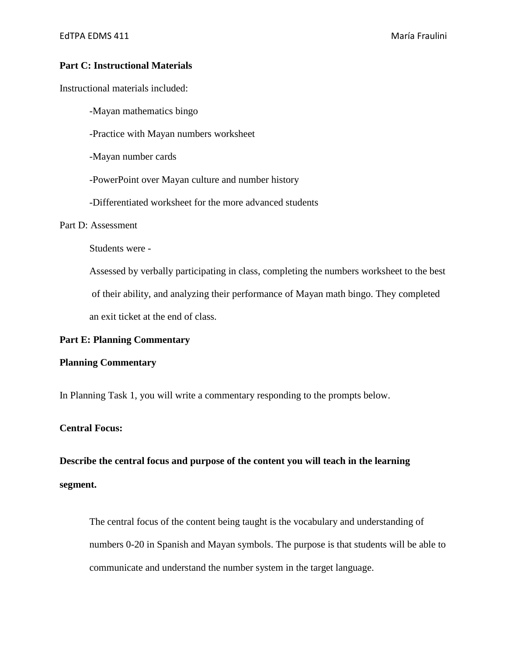# **Part C: Instructional Materials**

Instructional materials included:

-Mayan mathematics bingo

-Practice with Mayan numbers worksheet

-Mayan number cards

-PowerPoint over Mayan culture and number history

-Differentiated worksheet for the more advanced students

### Part D: Assessment

Students were -

Assessed by verbally participating in class, completing the numbers worksheet to the best of their ability, and analyzing their performance of Mayan math bingo. They completed an exit ticket at the end of class.

### **Part E: Planning Commentary**

### **Planning Commentary**

In Planning Task 1, you will write a commentary responding to the prompts below.

### **Central Focus:**

**Describe the central focus and purpose of the content you will teach in the learning segment.** 

The central focus of the content being taught is the vocabulary and understanding of numbers 0-20 in Spanish and Mayan symbols. The purpose is that students will be able to communicate and understand the number system in the target language.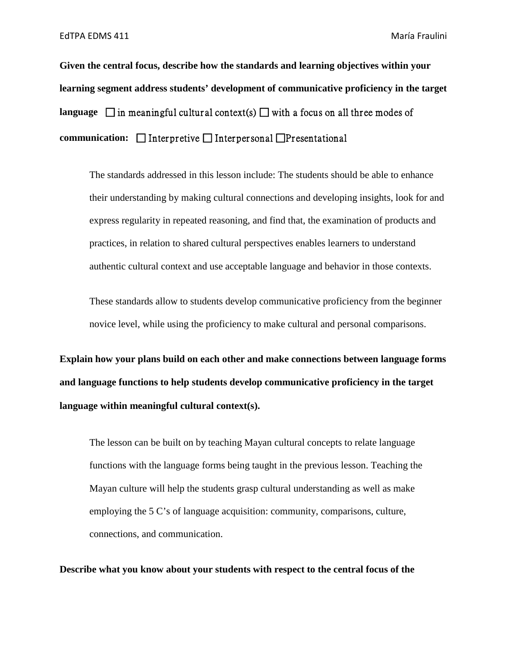**Given the central focus, describe how the standards and learning objectives within your learning segment address students' development of communicative proficiency in the target language**  $\Box$  in meaningful cultural context(s)  $\Box$  with a focus on all three modes of **communication:** □ Interpretive □ Interpersonal □ Presentational

The standards addressed in this lesson include: The students should be able to enhance their understanding by making cultural connections and developing insights, look for and express regularity in repeated reasoning, and find that, the examination of products and practices, in relation to shared cultural perspectives enables learners to understand authentic cultural context and use acceptable language and behavior in those contexts.

These standards allow to students develop communicative proficiency from the beginner novice level, while using the proficiency to make cultural and personal comparisons.

**Explain how your plans build on each other and make connections between language forms and language functions to help students develop communicative proficiency in the target language within meaningful cultural context(s).** 

The lesson can be built on by teaching Mayan cultural concepts to relate language functions with the language forms being taught in the previous lesson. Teaching the Mayan culture will help the students grasp cultural understanding as well as make employing the 5 C's of language acquisition: community, comparisons, culture, connections, and communication.

**Describe what you know about your students with respect to the central focus of the**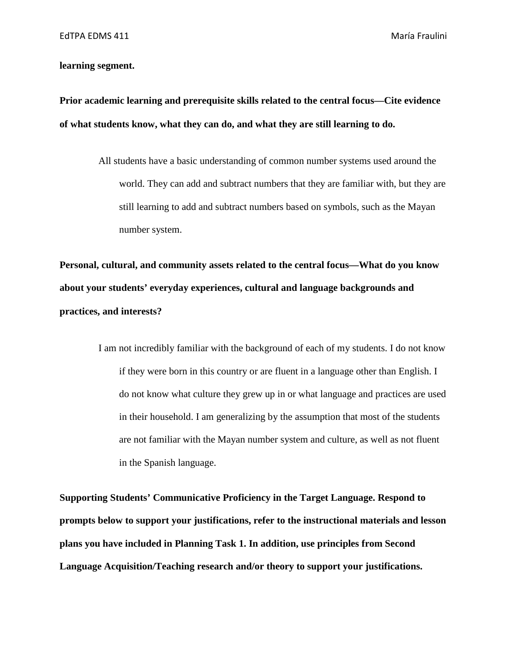# **learning segment.**

**Prior academic learning and prerequisite skills related to the central focus—Cite evidence of what students know, what they can do, and what they are still learning to do.** 

> All students have a basic understanding of common number systems used around the world. They can add and subtract numbers that they are familiar with, but they are still learning to add and subtract numbers based on symbols, such as the Mayan number system.

**Personal, cultural, and community assets related to the central focus—What do you know about your students' everyday experiences, cultural and language backgrounds and practices, and interests?** 

> I am not incredibly familiar with the background of each of my students. I do not know if they were born in this country or are fluent in a language other than English. I do not know what culture they grew up in or what language and practices are used in their household. I am generalizing by the assumption that most of the students are not familiar with the Mayan number system and culture, as well as not fluent in the Spanish language.

**Supporting Students' Communicative Proficiency in the Target Language. Respond to prompts below to support your justifications, refer to the instructional materials and lesson plans you have included in Planning Task 1. In addition, use principles from Second Language Acquisition/Teaching research and/or theory to support your justifications.**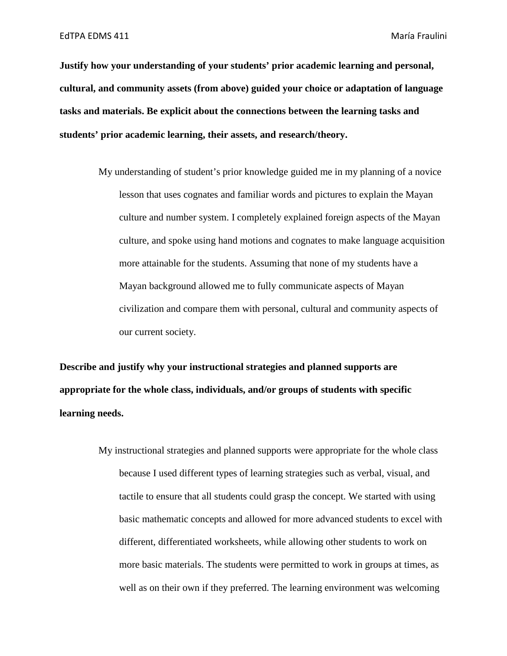**Justify how your understanding of your students' prior academic learning and personal, cultural, and community assets (from above) guided your choice or adaptation of language tasks and materials. Be explicit about the connections between the learning tasks and students' prior academic learning, their assets, and research/theory.** 

> My understanding of student's prior knowledge guided me in my planning of a novice lesson that uses cognates and familiar words and pictures to explain the Mayan culture and number system. I completely explained foreign aspects of the Mayan culture, and spoke using hand motions and cognates to make language acquisition more attainable for the students. Assuming that none of my students have a Mayan background allowed me to fully communicate aspects of Mayan civilization and compare them with personal, cultural and community aspects of our current society.

**Describe and justify why your instructional strategies and planned supports are appropriate for the whole class, individuals, and/or groups of students with specific learning needs.** 

> My instructional strategies and planned supports were appropriate for the whole class because I used different types of learning strategies such as verbal, visual, and tactile to ensure that all students could grasp the concept. We started with using basic mathematic concepts and allowed for more advanced students to excel with different, differentiated worksheets, while allowing other students to work on more basic materials. The students were permitted to work in groups at times, as well as on their own if they preferred. The learning environment was welcoming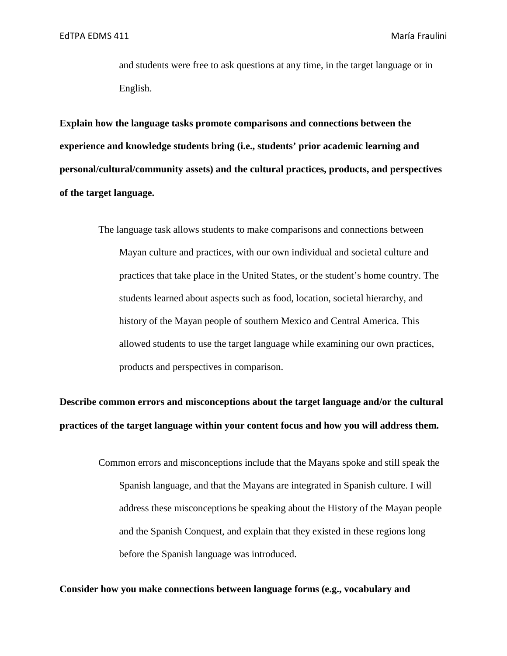and students were free to ask questions at any time, in the target language or in English.

**Explain how the language tasks promote comparisons and connections between the experience and knowledge students bring (i.e., students' prior academic learning and personal/cultural/community assets) and the cultural practices, products, and perspectives of the target language.** 

> The language task allows students to make comparisons and connections between Mayan culture and practices, with our own individual and societal culture and practices that take place in the United States, or the student's home country. The students learned about aspects such as food, location, societal hierarchy, and history of the Mayan people of southern Mexico and Central America. This allowed students to use the target language while examining our own practices, products and perspectives in comparison.

**Describe common errors and misconceptions about the target language and/or the cultural practices of the target language within your content focus and how you will address them.** 

> Common errors and misconceptions include that the Mayans spoke and still speak the Spanish language, and that the Mayans are integrated in Spanish culture. I will address these misconceptions be speaking about the History of the Mayan people and the Spanish Conquest, and explain that they existed in these regions long before the Spanish language was introduced.

### **Consider how you make connections between language forms (e.g., vocabulary and**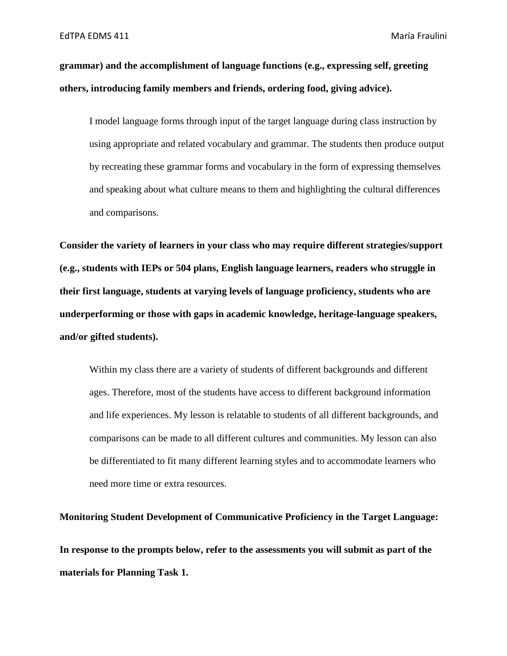**grammar) and the accomplishment of language functions (e.g., expressing self, greeting others, introducing family members and friends, ordering food, giving advice).** 

I model language forms through input of the target language during class instruction by using appropriate and related vocabulary and grammar. The students then produce output by recreating these grammar forms and vocabulary in the form of expressing themselves and speaking about what culture means to them and highlighting the cultural differences and comparisons.

**Consider the variety of learners in your class who may require different strategies/support (e.g., students with IEPs or 504 plans, English language learners, readers who struggle in their first language, students at varying levels of language proficiency, students who are underperforming or those with gaps in academic knowledge, heritage-language speakers, and/or gifted students).** 

Within my class there are a variety of students of different backgrounds and different ages. Therefore, most of the students have access to different background information and life experiences. My lesson is relatable to students of all different backgrounds, and comparisons can be made to all different cultures and communities. My lesson can also be differentiated to fit many different learning styles and to accommodate learners who need more time or extra resources.

**Monitoring Student Development of Communicative Proficiency in the Target Language: In response to the prompts below, refer to the assessments you will submit as part of the materials for Planning Task 1.**